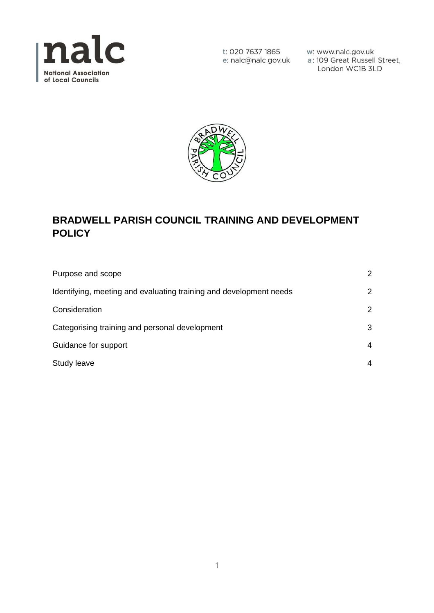

w: www.nalc.gov.uk a: 109 Great Russell Street, London WC1B 3LD



# **BRADWELL PARISH COUNCIL TRAINING AND DEVELOPMENT POLICY**

| Purpose and scope                                                  | 2             |
|--------------------------------------------------------------------|---------------|
| Identifying, meeting and evaluating training and development needs | 2             |
| Consideration                                                      | $\mathcal{P}$ |
| Categorising training and personal development                     | 3             |
| Guidance for support                                               | 4             |
| Study leave                                                        | 4             |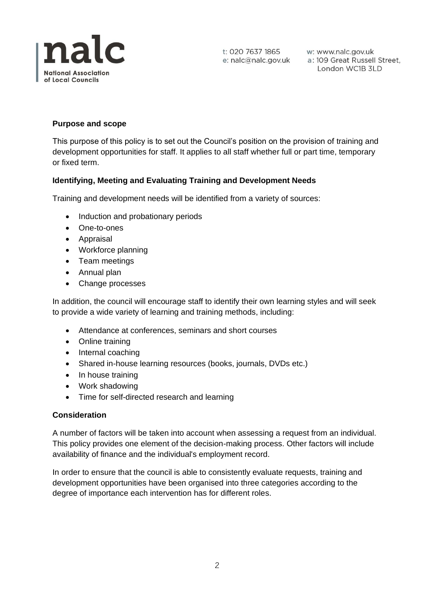

t: 020 7637 1865

w: www.nalc.gov.uk London WC1B 3LD

## **Purpose and scope**

This purpose of this policy is to set out the Council's position on the provision of training and development opportunities for staff. It applies to all staff whether full or part time, temporary or fixed term.

#### **Identifying, Meeting and Evaluating Training and Development Needs**

Training and development needs will be identified from a variety of sources:

- Induction and probationary periods
- One-to-ones
- Appraisal
- Workforce planning
- Team meetings
- Annual plan
- Change processes

In addition, the council will encourage staff to identify their own learning styles and will seek to provide a wide variety of learning and training methods, including:

- Attendance at conferences, seminars and short courses
- Online training
- Internal coaching
- Shared in-house learning resources (books, journals, DVDs etc.)
- In house training
- Work shadowing
- Time for self-directed research and learning

#### **Consideration**

A number of factors will be taken into account when assessing a request from an individual. This policy provides one element of the decision-making process. Other factors will include availability of finance and the individual's employment record.

In order to ensure that the council is able to consistently evaluate requests, training and development opportunities have been organised into three categories according to the degree of importance each intervention has for different roles.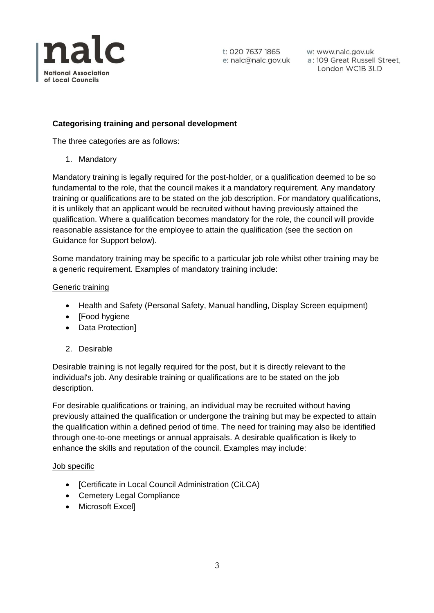

w: www.nalc.gov.uk a: 109 Great Russell Street, London WC1B 3LD

## **Categorising training and personal development**

The three categories are as follows:

1. Mandatory

Mandatory training is legally required for the post-holder, or a qualification deemed to be so fundamental to the role, that the council makes it a mandatory requirement. Any mandatory training or qualifications are to be stated on the job description. For mandatory qualifications, it is unlikely that an applicant would be recruited without having previously attained the qualification. Where a qualification becomes mandatory for the role, the council will provide reasonable assistance for the employee to attain the qualification (see the section on Guidance for Support below).

Some mandatory training may be specific to a particular job role whilst other training may be a generic requirement. Examples of mandatory training include:

### Generic training

- Health and Safety (Personal Safety, Manual handling, Display Screen equipment)
- [Food hygiene
- Data Protection]
- 2. Desirable

Desirable training is not legally required for the post, but it is directly relevant to the individual's job. Any desirable training or qualifications are to be stated on the job description.

For desirable qualifications or training, an individual may be recruited without having previously attained the qualification or undergone the training but may be expected to attain the qualification within a defined period of time. The need for training may also be identified through one-to-one meetings or annual appraisals. A desirable qualification is likely to enhance the skills and reputation of the council. Examples may include:

#### Job specific

- [Certificate in Local Council Administration (CiLCA)
- Cemetery Legal Compliance
- Microsoft Excel]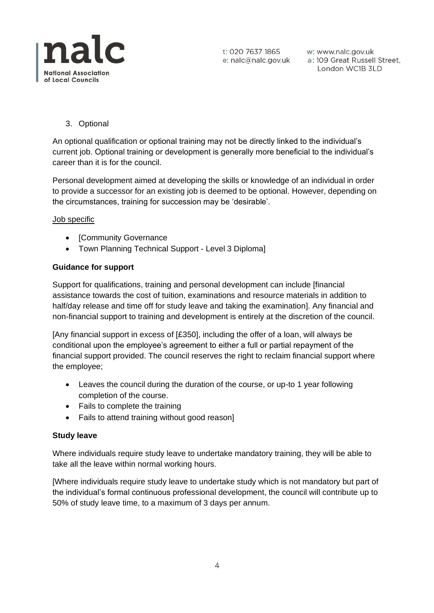

w: www.nalc.gov.uk a: 109 Great Russell Street, London WC1B 3LD

3. Optional

An optional qualification or optional training may not be directly linked to the individual's current job. Optional training or development is generally more beneficial to the individual's career than it is for the council.

Personal development aimed at developing the skills or knowledge of an individual in order to provide a successor for an existing job is deemed to be optional. However, depending on the circumstances, training for succession may be 'desirable'.

#### Job specific

- [Community Governance
- Town Planning Technical Support Level 3 Diploma]

#### **Guidance for support**

Support for qualifications, training and personal development can include [financial assistance towards the cost of tuition, examinations and resource materials in addition to half/day release and time off for study leave and taking the examination]. Any financial and non-financial support to training and development is entirely at the discretion of the council.

[Any financial support in excess of [£350], including the offer of a loan, will always be conditional upon the employee's agreement to either a full or partial repayment of the financial support provided. The council reserves the right to reclaim financial support where the employee;

- Leaves the council during the duration of the course, or up-to 1 year following completion of the course.
- Fails to complete the training
- Fails to attend training without good reason]

#### **Study leave**

Where individuals require study leave to undertake mandatory training, they will be able to take all the leave within normal working hours.

[Where individuals require study leave to undertake study which is not mandatory but part of the individual's formal continuous professional development, the council will contribute up to 50% of study leave time, to a maximum of 3 days per annum.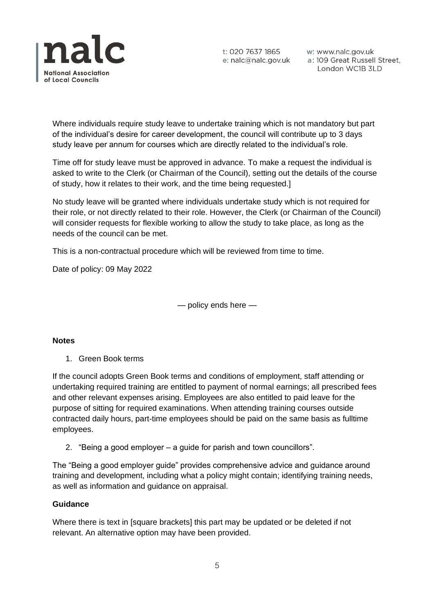

w: www.nalc.gov.uk a: 109 Great Russell Street, London WC1B 3LD

Where individuals require study leave to undertake training which is not mandatory but part of the individual's desire for career development, the council will contribute up to 3 days study leave per annum for courses which are directly related to the individual's role.

Time off for study leave must be approved in advance. To make a request the individual is asked to write to the Clerk (or Chairman of the Council), setting out the details of the course of study, how it relates to their work, and the time being requested.]

No study leave will be granted where individuals undertake study which is not required for their role, or not directly related to their role. However, the Clerk (or Chairman of the Council) will consider requests for flexible working to allow the study to take place, as long as the needs of the council can be met.

This is a non-contractual procedure which will be reviewed from time to time.

Date of policy: 09 May 2022

— policy ends here —

#### **Notes**

1. Green Book terms

If the council adopts Green Book terms and conditions of employment, staff attending or undertaking required training are entitled to payment of normal earnings; all prescribed fees and other relevant expenses arising. Employees are also entitled to paid leave for the purpose of sitting for required examinations. When attending training courses outside contracted daily hours, part-time employees should be paid on the same basis as fulltime employees.

2. "Being a good employer – a guide for parish and town councillors".

The "Being a good employer guide" provides comprehensive advice and guidance around training and development, including what a policy might contain; identifying training needs, as well as information and guidance on appraisal.

#### **Guidance**

Where there is text in [square brackets] this part may be updated or be deleted if not relevant. An alternative option may have been provided.